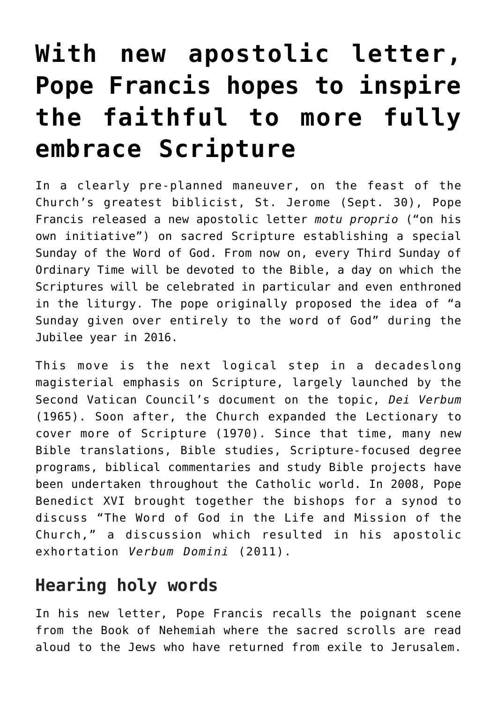## **[With new apostolic letter,](https://www.osvnews.com/2019/10/01/with-new-apostolic-letter-pope-francis-hopes-to-inspire-the-faithful-to-more-fully-embrace-scripture/) [Pope Francis hopes to inspire](https://www.osvnews.com/2019/10/01/with-new-apostolic-letter-pope-francis-hopes-to-inspire-the-faithful-to-more-fully-embrace-scripture/) [the faithful to more fully](https://www.osvnews.com/2019/10/01/with-new-apostolic-letter-pope-francis-hopes-to-inspire-the-faithful-to-more-fully-embrace-scripture/) [embrace Scripture](https://www.osvnews.com/2019/10/01/with-new-apostolic-letter-pope-francis-hopes-to-inspire-the-faithful-to-more-fully-embrace-scripture/)**

In a clearly pre-planned maneuver, on the feast of the Church's greatest biblicist, St. Jerome (Sept. 30), Pope Francis released a new apostolic letter *motu proprio* ("on his own initiative") on sacred Scripture establishing a special Sunday of the Word of God. From now on, every Third Sunday of Ordinary Time will be devoted to the Bible, a day on which the Scriptures will be celebrated in particular and even enthroned in the liturgy. The pope originally proposed the idea of "a Sunday given over entirely to the word of God" during the Jubilee year in 2016.

This move is the next logical step in a decadeslong magisterial emphasis on Scripture, largely launched by the Second Vatican Council's document on the topic, *Dei Verbum* (1965). Soon after, the Church expanded the Lectionary to cover more of Scripture (1970). Since that time, many new Bible translations, Bible studies, Scripture-focused degree programs, biblical commentaries and study Bible projects have been undertaken throughout the Catholic world. In 2008, Pope Benedict XVI brought together the bishops for a synod to discuss "The Word of God in the Life and Mission of the Church," a discussion which resulted in his apostolic exhortation *Verbum Domini* (2011).

## **Hearing holy words**

In his new letter, Pope Francis recalls the poignant scene from the Book of Nehemiah where the sacred scrolls are read aloud to the Jews who have returned from exile to Jerusalem.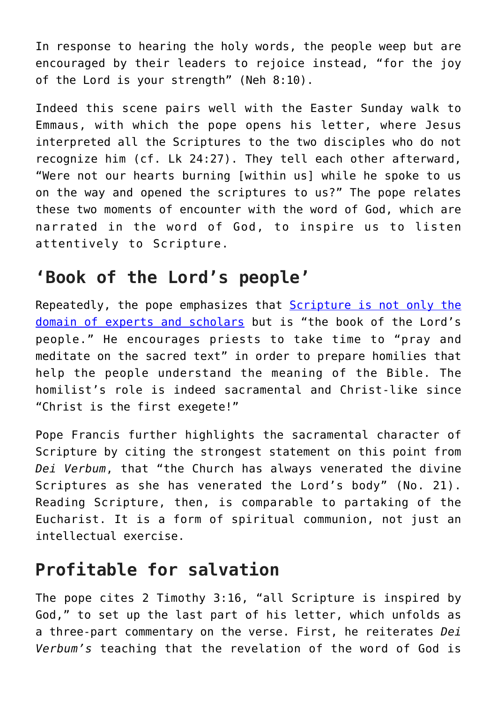In response to hearing the holy words, the people weep but are encouraged by their leaders to rejoice instead, "for the joy of the Lord is your strength" (Neh 8:10).

Indeed this scene pairs well with the Easter Sunday walk to Emmaus, with which the pope opens his letter, where Jesus interpreted all the Scriptures to the two disciples who do not recognize him (cf. Lk 24:27). They tell each other afterward, "Were not our hearts burning [within us] while he spoke to us on the way and opened the scriptures to us?" The pope relates these two moments of encounter with the word of God, which are narrated in the word of God, to inspire us to listen attentively to Scripture.

## **'Book of the Lord's people'**

Repeatedly, the pope emphasizes that [Scripture is not only the](https://www.osvnews.com/2019/03/31/getting-the-most-from-your-spiritual-reading/) [domain of experts and scholars](https://www.osvnews.com/2019/03/31/getting-the-most-from-your-spiritual-reading/) but is "the book of the Lord's people." He encourages priests to take time to "pray and meditate on the sacred text" in order to prepare homilies that help the people understand the meaning of the Bible. The homilist's role is indeed sacramental and Christ-like since "Christ is the first exegete!"

Pope Francis further highlights the sacramental character of Scripture by citing the strongest statement on this point from *Dei Verbum*, that "the Church has always venerated the divine Scriptures as she has venerated the Lord's body" (No. 21). Reading Scripture, then, is comparable to partaking of the Eucharist. It is a form of spiritual communion, not just an intellectual exercise.

## **Profitable for salvation**

The pope cites 2 Timothy 3:16, "all Scripture is inspired by God," to set up the last part of his letter, which unfolds as a three-part commentary on the verse. First, he reiterates *Dei Verbum's* teaching that the revelation of the word of God is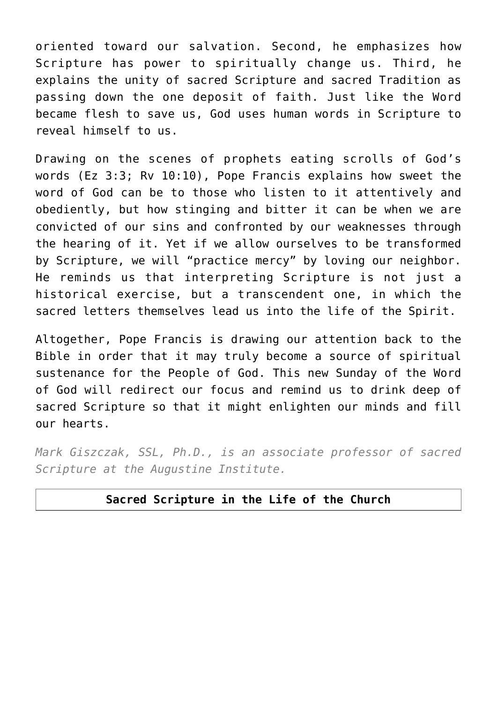oriented toward our salvation. Second, he emphasizes how Scripture has power to spiritually change us. Third, he explains the unity of sacred Scripture and sacred Tradition as passing down the one deposit of faith. Just like the Word became flesh to save us, God uses human words in Scripture to reveal himself to us.

Drawing on the scenes of prophets eating scrolls of God's words (Ez 3:3; Rv 10:10), Pope Francis explains how sweet the word of God can be to those who listen to it attentively and obediently, but how stinging and bitter it can be when we are convicted of our sins and confronted by our weaknesses through the hearing of it. Yet if we allow ourselves to be transformed by Scripture, we will "practice mercy" by loving our neighbor. He reminds us that interpreting Scripture is not just a historical exercise, but a transcendent one, in which the sacred letters themselves lead us into the life of the Spirit.

Altogether, Pope Francis is drawing our attention back to the Bible in order that it may truly become a source of spiritual sustenance for the People of God. This new Sunday of the Word of God will redirect our focus and remind us to drink deep of sacred Scripture so that it might enlighten our minds and fill our hearts.

*Mark Giszczak, SSL, Ph.D., is an associate professor of sacred Scripture at the Augustine Institute.*